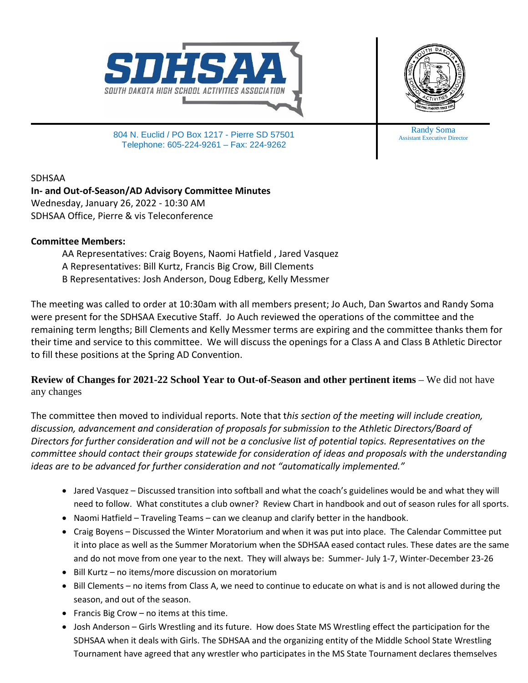



804 N. Euclid / PO Box 1217 - Pierre SD 57501 Telephone: 605-224-9261 – Fax: 224-9262

SDHSAA

**In- and Out-of-Season/AD Advisory Committee Minutes** Wednesday, January 26, 2022 - 10:30 AM SDHSAA Office, Pierre & vis Teleconference

## **Committee Members:**

AA Representatives: Craig Boyens, Naomi Hatfield , Jared Vasquez A Representatives: Bill Kurtz, Francis Big Crow, Bill Clements B Representatives: Josh Anderson, Doug Edberg, Kelly Messmer

The meeting was called to order at 10:30am with all members present; Jo Auch, Dan Swartos and Randy Soma were present for the SDHSAA Executive Staff. Jo Auch reviewed the operations of the committee and the remaining term lengths; Bill Clements and Kelly Messmer terms are expiring and the committee thanks them for their time and service to this committee. We will discuss the openings for a Class A and Class B Athletic Director to fill these positions at the Spring AD Convention.

**Review of Changes for 2021-22 School Year to Out-of-Season and other pertinent items** – We did not have any changes

The committee then moved to individual reports. Note that t*his section of the meeting will include creation, discussion, advancement and consideration of proposals for submission to the Athletic Directors/Board of Directors for further consideration and will not be a conclusive list of potential topics. Representatives on the committee should contact their groups statewide for consideration of ideas and proposals with the understanding ideas are to be advanced for further consideration and not "automatically implemented."*

- Jared Vasquez Discussed transition into softball and what the coach's guidelines would be and what they will need to follow. What constitutes a club owner? Review Chart in handbook and out of season rules for all sports.
- Naomi Hatfield Traveling Teams can we cleanup and clarify better in the handbook.
- Craig Boyens Discussed the Winter Moratorium and when it was put into place. The Calendar Committee put it into place as well as the Summer Moratorium when the SDHSAA eased contact rules. These dates are the same and do not move from one year to the next. They will always be: Summer- July 1-7, Winter-December 23-26
- Bill Kurtz no items/more discussion on moratorium
- Bill Clements no items from Class A, we need to continue to educate on what is and is not allowed during the season, and out of the season.
- Francis Big Crow no items at this time.
- Josh Anderson Girls Wrestling and its future. How does State MS Wrestling effect the participation for the SDHSAA when it deals with Girls. The SDHSAA and the organizing entity of the Middle School State Wrestling Tournament have agreed that any wrestler who participates in the MS State Tournament declares themselves

Randy Soma Assistant Executive Director